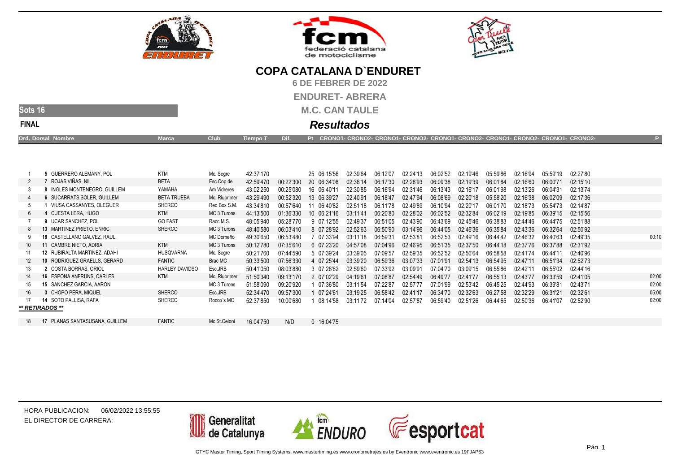





**6 DE FEBRER DE 2022**

**ENDURET- ABRERA**

**M.C. CAN TAULE**

### **Sots 16FINAL**

### **Resultados**

| <b>Ord. Dorsal Nombre</b> | Marca. | <b>Club</b> | Tiempo T Dif. \ | . Pt CRONO1- CRONO2- CRONO1- CRONO2- CRONO1- CRONO2- CRONO1- CRONO2- CRONO1- CRONO2- |  |
|---------------------------|--------|-------------|-----------------|--------------------------------------------------------------------------------------|--|
|                           |        |             |                 |                                                                                      |  |

|    | 5 GUERRERO ALEMANY, POL             | <b>KTM</b>            | Mc. Segre     | 42:37'170 |           | 25 06:15'56 |            | 02:39'64 | 06:12'07 | 02:24'13 | 06:02'52 | 02:19'46 | 05:59'86 | 02:16'94 | 05:59'19 | 02:27'80 |       |
|----|-------------------------------------|-----------------------|---------------|-----------|-----------|-------------|------------|----------|----------|----------|----------|----------|----------|----------|----------|----------|-------|
|    | 'ROJAS VIÑAS, NIL                   | <b>BETA</b>           | Esc.Cop de    | 42:59'470 | 00:22'300 | 20 06:34'08 |            | 02:36'14 | 06:17'30 | 02:28'93 | 06:09'38 | 02:19'39 | 06:01'84 | 02:16'60 | 06:00'71 | 02:15'10 |       |
|    | 8 INGLES MONTENEGRO. GUILLEM        | YAMAHA                | Am Vidreres   | 43:02'250 | 00:25'080 | 16 06:40'11 |            | 02:30'85 | 06:16'94 | 02:31'46 | 06:13'43 | 02:16'17 | 06:01'98 | 02:13'26 | 06:04'31 | 02:13'74 |       |
|    | 6 SUCARRATS SOLER, GUILLEM          | <b>BETA TRUEBA</b>    | Mc. Riuprimer | 43:29'490 | 00:52'320 | 13 06:39'27 |            | 02:40'91 | 06:18'47 | 02:47'94 | 06:08'69 | 02:20'18 | 05:58'20 | 02:16'38 | 06:02'09 | 02:17'36 |       |
|    | VIUSA CASSANYES, OLEGUER            | <b>SHERCO</b>         | Red Box S.M.  | 43:34'810 | 00:57'640 |             | 06:40'82   | 02:51'18 | 06:11'78 | 02:49'89 | 06:10'94 | 02:20'17 | 06:01'70 | 02:18'73 | 05:54'73 | 02:14'87 |       |
|    | 4 CUESTA LERA, HUGO                 | KTM                   | MC 3 Turons   | 44:13'500 | 01:36'330 | 10 06:21'16 |            | 03.1141  | 06:20'80 | 02:28'02 | 06:02'52 | 02:32'84 | 06:02'19 | 02:19'85 | 06:39'15 | 02:15'56 |       |
|    | 9 UCAR SANCHEZ, POL                 | <b>GO FAST</b>        | Racc M.S.     | 48:05'940 | 05:28'770 | 9 07:12'55  |            | 02:49'37 | 06:51'05 | 02:43'90 | 06:43'69 | 02:45'46 | 06:38'83 | 02:44'46 | 06:44'75 | 02:51'88 |       |
|    | 13 MARTINEZ PRIETO, ENRIC           | <b>SHERCO</b>         | MC 3 Turons   | 48:40'580 | 06:03'410 |             | 8 07:28'92 | 02:52'63 | 06:50'90 | 03:14'96 | 06:44'05 | 02:46'36 | 06:35'84 | 02:43'36 | 06:32'64 | 02:50'92 |       |
|    | <b>18 CASTELLANO GALVEZ, RAUL</b>   |                       | MC Domeño     | 49:30'650 | 06:53'480 |             | 07:33'94   | 03.1118  | 06:59'31 | 02:53'81 | 06:52'53 | 02:49'16 | 06:44'42 | 02:46'32 | 06:40'63 | 02:49'35 | 00:10 |
|    | 11 CAMBRE NIETO, ADRIA              | KTM                   | MC 3 Turons   | 50:12'780 | 07:35'610 |             | 6 07:23'20 | 04:57'08 | 07:04'96 | 02:46'95 | 06:51'35 | 02:37'50 | 06:44'18 | 02:37'76 | 06:37'88 | 02:31'92 |       |
|    | <b>12 RUBIRALTA MARTINEZ, ADAHI</b> | HUSQVARNA             | Mc. Segre     | 50:21'760 | 07:44'590 |             | 5 07:39'24 | 03:39'05 | 07:09'57 | 02:59'35 | 06:52'52 | 02:56'64 | 06:58'58 | 02:41'74 | 06:44'11 | 02:40'96 |       |
| 12 | 10 RODRIGUEZ GRAELLS, GERARD        | <b>FANTIC</b>         | Brac MC       | 50:33'500 | 07:56'330 |             | 4 07:25'44 | 03:39'20 | 06:59'36 | 03:07'33 | 07:01'91 | 02:54'13 | 06:54'95 | 02:47'11 | 06:51'34 | 02:52'73 |       |
| 13 | 2 COSTA BORRAS, ORIOL               | <b>HARLEY DAVIDSO</b> | Esc.JRB       | 50:41'050 | 08:03'880 |             | 3 07:26'62 | 02:59'60 | 07:33'92 | 03:09'91 | 07:04'70 | 03:09'15 | 06:55'86 | 02:42'11 | 06:55'02 | 02:44'16 |       |
| 14 | 16 ESPONA ANFRUNS, CARLES           | KTM                   | Mc. Riuprimer | 51:50'340 | 09:13'170 |             | 2 07:02'29 | 04:19'61 | 07:08'87 | 02:54'49 | 06:49'77 | 02:41'77 | 06:55'13 | 02:43'77 | 06:33'59 | 02:41'05 | 02:00 |
|    | 15 SANCHEZ GARCIA, AARON            |                       | MC 3 Turons   | 51:58'090 | 09:20'920 |             | 07:36'80   | 03:11'54 | 07:22'87 | 02:57'77 | 07:01'99 | 02:53'42 | 06:45'25 | 02:44'93 | 06:39'81 | 02:43'71 | 02:00 |
|    | 3 CHOPO PERA, MIQUEL                | <b>SHERCO</b>         | Esc.JRB       | 52:34'470 | 09:57'300 |             | 07:24'61   | 03:19'25 | 06:58'42 | 02:41'17 | 06:34'70 | 02:32'63 | 06:27'58 | 02:32'29 | 06:31'21 | 02:32'61 | 05:00 |
|    | <b>14 SOTO PALLISA, RAFA</b>        | <b>SHERCO</b>         | Rocco's MC    | 52:37'850 | 10:00'680 |             | 08:14'58   | 03:11'72 | 07:14'04 | 02:57'87 | 06:59'40 | 02:51'26 | 06:44'65 | 02:50'36 | 06:41'07 | 02:52'90 | 02:00 |
|    | ** RETIRADOS **                     |                       |               |           |           |             |            |          |          |          |          |          |          |          |          |          |       |
|    | 17 PLANAS SANTASUSANA, GUILLEM      | <b>FANTIC</b>         | Mc St.Celoni  | 16:04'750 | N/D       |             | 0 16:04'75 |          |          |          |          |          |          |          |          |          |       |

HORA PUBLICACION:06/02/2022 13:55:55EL DIRECTOR DE CARRERA:

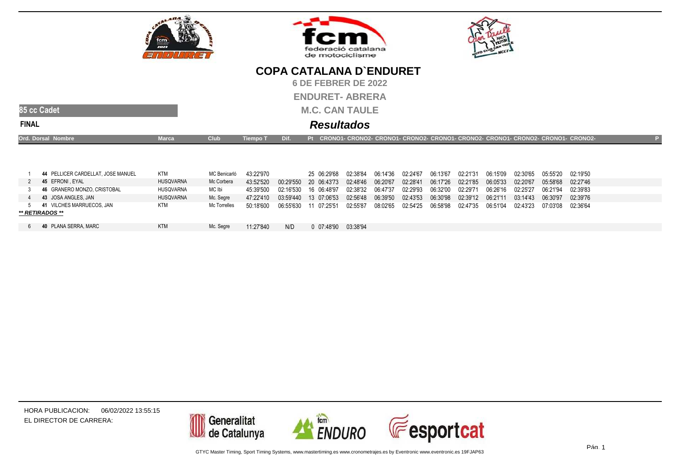





**6 DE FEBRER DE 2022**

**ENDURET- ABRERA**

**M.C. CAN TAULE**



**FINAL**

### **Resultados**

| <b>Ord. Dorsal Nombre</b>          | Marca | Club         | <b>Tiempo T</b> | $\mathbf{D}$ is the $\mathbf{D}$ if $\mathbf{D}$ if $\mathbf{D}$ is the $\mathbf{D}$ | Pt CRONO1- CRONO2- CRONO1- CRONO2- CRONO1- CRONO2- CRONO1- CRONO2- CRONO1- CRONO2- ' |                                                                                                                          |  |  |  |          |  |
|------------------------------------|-------|--------------|-----------------|--------------------------------------------------------------------------------------|--------------------------------------------------------------------------------------|--------------------------------------------------------------------------------------------------------------------------|--|--|--|----------|--|
|                                    |       |              |                 |                                                                                      |                                                                                      |                                                                                                                          |  |  |  |          |  |
|                                    |       |              |                 |                                                                                      |                                                                                      |                                                                                                                          |  |  |  |          |  |
| 44 PELLICER CARDELLAT. JOSE MANUEL | KTM   | MC Benicarló | 43.22.970       |                                                                                      | 25 06:29'68                                                                          | 02:38'84        06:14'36        02:24'67        06:13'67        02:21'31        06:15'09        02:30'65        05:55'20 |  |  |  | 02:19'50 |  |

|                             |                  |              | TU.LL UI U |           |                 |          |          | UL.L.T U I |          |                   |          |          |          |          |
|-----------------------------|------------------|--------------|------------|-----------|-----------------|----------|----------|------------|----------|-------------------|----------|----------|----------|----------|
| 45 EFRONI EYAL              | <b>HUSQVARNA</b> | Mc Corbera   | 43:52'520  | 00.29550  | 20 06:43'73     | 02:48'46 | 06:20'67 | 02:28'41   |          | 06:17'26 02:21'85 | 06:05'33 | 02:20'67 | 05:58'68 | 02:27'46 |
| 46 GRANERO MONZO, CRISTOBAL | <b>HUSQVARNA</b> | MC Ibi       | 45.39'500  | 02.16530  | 16 06:48'97     | 02:38'32 | 06:47'37 | 02:29'93   | 06:32'00 | 02:29'71          | 06:26'16 | 02:25'27 | 06:21'94 | 02:39'83 |
| 43 JOSA ANGLES, JAN         | <b>HUSQVARNA</b> | Mc. Segre    | 47.22110   | 03.59'440 | 13 07:06'53     | 02:56'48 | 06:39'50 | 02:43'53   | 06:30'98 | 02:39'12          | 06:21'11 | 03:14'43 | 06:30'97 | 02:39'76 |
| 41 VILCHES MARRUECOS. JAN   | <b>KTM</b>       | Mc Torrelles | 50.18600   | 06:55'630 | 07.2551         | 02:55'87 | 08:02'65 | 02:54'25   | 06:58'98 | 02:47'35          | 06:51'04 | 02:43'23 | 07:03'08 | 02:36'64 |
| ** RETIRADOS **             |                  |              |            |           |                 |          |          |            |          |                   |          |          |          |          |
|                             |                  |              |            |           |                 |          |          |            |          |                   |          |          |          |          |
| 40 PLANA SERRA, MARC        | <b>KTM</b>       | Mc. Segre    | 11:27'840  | N/D       | $0.07 - 48$ '90 | 03:38'94 |          |            |          |                   |          |          |          |          |

HORA PUBLICACION:06/02/2022 13:55:15EL DIRECTOR DE CARRERA:

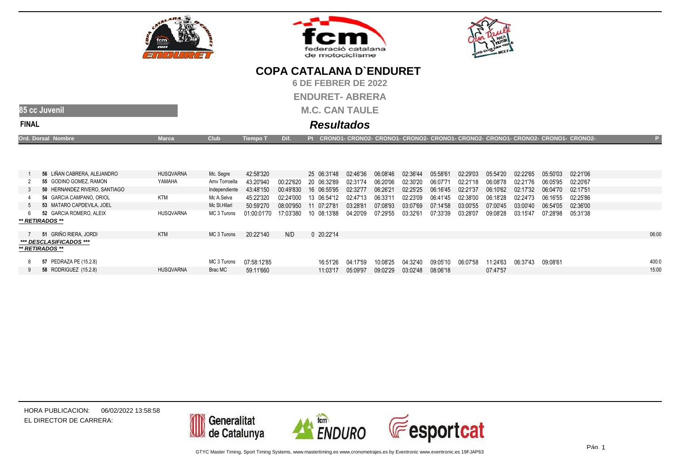





**6 DE FEBRER DE 2022**

**ENDURET- ABRERA**

**M.C. CAN TAULE**

### **85 cc JuvenilFINAL**

### **Resultados**

| Ord. Dorsal Nombre | <b>Marca</b> | <b>Club</b> | Tiempo T | Dif. | Pt CRONO1- CRONO2- CRONO1- CRONO2- CRONO1- CRONO2- CRONO1- CRONO2- CRONO1- CRONO2- |  |
|--------------------|--------------|-------------|----------|------|------------------------------------------------------------------------------------|--|
|                    |              |             |          |      |                                                                                    |  |

| 56 LIÑAN CABRERA, ALEJANDRO                | <b>HUSQVARNA</b> | Mc. Segre     | 42:58'320   |           | 25 06:31'48  | 02:46'36 | 06:08'46 | 02:36'44 | 05:58'61 | 02:29'03 | 05:54'20 | 02:22'65 | 05:50'03 | 02:21'06 |       |
|--------------------------------------------|------------------|---------------|-------------|-----------|--------------|----------|----------|----------|----------|----------|----------|----------|----------|----------|-------|
| 55 GODINO GOMEZ, RAMON                     | YAMAHA           | Amv Torroella | 43:20'940   | 00 22'620 | 20 06:32'89  | 02:31'74 | 06:20'06 | 02:30'20 | 06:07'71 | 02:21'18 | 06:08'78 | 02:21'76 | 06:05'95 | 02:20'67 |       |
| 50 HERNANDEZ RIVERO, SANTIAGO              |                  | Independiente | 43:48'150   | 00:49'830 | 16 06:55'95  | 02:32'77 | 06:26'21 | 02:25'25 | 06:16'45 | 02:21'37 | 06:10'62 | 02:17'32 | 06:04'70 | 02:17'51 |       |
| 54 GARCIA CAMPANO, ORIOL                   | KTM              | Mc A.Selva    | 45:22'320   | 02:24'000 | 13 06:54'12  | 02:47'13 | 06:33'11 | 02:23'09 | 06:41'45 | 02:38'00 | 06:18'28 | 02:24'73 | 06:16'55 | 02:25'86 |       |
| 53 MATARO CAPDEVILA, JOEL                  |                  | Mc St.Hilari  | 50:59'270   | 08:00'950 | 11 07:27'81  | 03:28'81 | 07:08'93 | 03:07'69 | 07:14'58 | 03:00'55 | 07:00'45 | 03:00'40 | 06:54'05 | 02:36'00 |       |
| 52 GARCIA ROMERO, ALEIX                    | HUSQVARNA        | MC 3 Turons   | 01:00:01'70 | 17:03'380 | 10 08:13'88  | 04:20'09 | 07:29'55 | 03:32'61 | 07:33'39 | 03:28'07 | 09:08'28 | 03:15'47 | 07:28'98 | 05:31'38 |       |
| ** RETIRADOS **                            |                  |               |             |           |              |          |          |          |          |          |          |          |          |          |       |
| 51 GRIÑO RIERA, JORDI                      | <b>KTM</b>       | MC 3 Turons   | 20:22'140   | N/D       | $0$ 20:22'14 |          |          |          |          |          |          |          |          |          | 06:00 |
| *** DESCLASIFICADOS ***<br>** RETIRADOS ** |                  |               |             |           |              |          |          |          |          |          |          |          |          |          |       |
| 57 PEDRAZA PE (15.2.8)                     |                  | MC 3 Turons   | 07:58:12'85 |           | 16:51'26     | 04:17'59 | 10:08'25 | 04:32'40 | 09:05'10 | 06:07'58 | 11:24'63 | 06:37'43 | 09:08'61 |          | 400:0 |
| 58 RODRIGUEZ (15.2.8)                      | <b>HUSQVARNA</b> | Brac MC       | 59:11'660   |           | 11:03'17     | 05:09'97 | 09:02'29 | 03:02'48 | 08:06'18 |          | 07:47'57 |          |          |          | 15:00 |

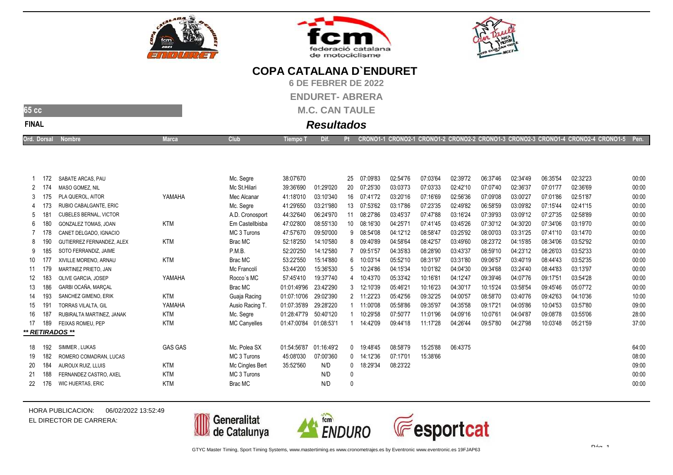





**6 DE FEBRER DE 2022**

**ENDURET- ABRERA**

**M.C. CAN TAULE**

### **FINAL**

**65 cc**

### **Resultados**

| CRONO1-1 CRONO2-1 CRONO1-2 CRONO2-2 CRONO1-3 CRONO2-3 CRONO1-4 CRONO2-4 CRONO1-5 Pen.<br>Ord. Dorsal Nombre<br>Dif.<br><b>Lempo</b> T<br>larca<br><u>ciuli</u> |
|----------------------------------------------------------------------------------------------------------------------------------------------------------------|
|----------------------------------------------------------------------------------------------------------------------------------------------------------------|

|        | 172             | SABATE ARCAS, PAU             |                | Mc. Segre       | 38:07'670   |            | 25           | 07:09'83     | 02:54'76 | 07:03'64 | 02:39'72 | 06:37'46 | 02:34'49 | 06:35'54 | 02:32'23 | 00:00 |
|--------|-----------------|-------------------------------|----------------|-----------------|-------------|------------|--------------|--------------|----------|----------|----------|----------|----------|----------|----------|-------|
|        |                 | MASO GOMEZ. NIL               |                | Mc St.Hilari    | 39:36'690   | 01:29'020  | 20           | 07:25'30     | 03:03'73 | 07:03'33 | 02:42'10 | 07:07'40 | 02:36'37 | 07:01'77 | 02:36'69 | 00:00 |
|        | 3 175           | PLA QUEROL, AITOR             | YAMAHA         | Mec Alcanar     | 41:18'010   | 03:10'340  | 16           | 07:41'72     | 03:20'16 | 07:16'69 | 02:56'36 | 07:09'08 | 03:00'27 | 07:01'86 | 02:51'87 | 00:00 |
|        |                 | RUBIO CABALGANTE, ERIC        |                | Mc. Segre       | 41:29'650   | 03:21'980  | 13           | 07:53'62     | 03:17'86 | 07:23'35 | 02:49'82 | 06:58'59 | 03:09'82 | 07:15'44 | 02:41'15 | 00:00 |
| 5      |                 | <b>CUBELES BERNAL, VICTOR</b> |                | A.D. Cronosport | 44:32'640   | 06:24'970  | 11           | 08:27'86     | 03:45'37 | 07:47'88 | 03:16'24 | 07:39'93 | 03:09'12 | 07:27'35 | 02:58'89 | 00:00 |
|        | 6 180           | <b>GONZALEZ TOMAS. JOAN</b>   | <b>KTM</b>     | Em Castellbisba | 47:02'800   | 08:55'130  | 10           | 08:16'30     | 04:25'71 | 07:41'45 | 03:45'26 | 07:30'12 | 04:30'20 | 07:34'06 | 03:19'70 | 00:00 |
|        |                 | CANET DELGADO. IGNACIO        |                | MC 3 Turons     | 47:57'670   | 09:50'000  |              | 9 08:54'08   | 04:12'12 | 08:58'47 | 03:25'92 | 08:00'03 | 03:31'25 | 07:41'10 | 03:14'70 | 00:00 |
| 8.     |                 | GUTIERREZ FERNANDEZ, ALEX     | <b>KTM</b>     | Brac MC         | 52:18'250   | 14:10'580  |              | 8 09:40'89   | 04:58'64 | 08:42'57 | 03:49'60 | 08:23'72 | 04:15'85 | 08:34'06 | 03:52'92 | 00:00 |
|        |                 | SOTO FERRANDIZ. JAIME         |                | P.M.B.          | 52:20'250   | 14:12'580  |              | 09:51'57     | 04:35'83 | 08:28'90 | 03:43'37 | 08:59'10 | 04:23'12 | 08:26'03 | 03:52'33 | 00:00 |
| 10 177 |                 | XIVILLE MORENO, ARNAU         | <b>KTM</b>     | Brac MC         | 53:22'550   | 15:14'880  | 6            | 10:03'14     | 05:52'10 | 08:31'97 | 03:31'80 | 09:06'57 | 03:40'19 | 08:44'43 | 03:52'35 | 00:00 |
| 11     | - 179           | MARTINEZ PRIETO, JAN          |                | Mc Francolí     | 53:44'200   | 15:36'530  | 5            | 10:24'86     | 04:15'34 | 10:01'82 | 04:04'30 | 09:34'68 | 03:24'40 | 08:44'83 | 03:13'97 | 00:00 |
| 12     | 183             | OLIVE GARCIA, JOSEP           | YAMAHA         | Rocco's MC      | 57:45'410   | 19:37'740  | 4            | 10:43'70     | 05:33'42 | 10:16'81 | 04:12'47 | 09:39'46 | 04:07'76 | 09:17'51 | 03:54'28 | 00:00 |
| 13     | 186             | GARBI OCAÑA. MARCAL           |                | Brac MC         | 01:01:49'96 | 23:42'290  | 3            | 12:10'39     | 05:46'21 | 10:16'23 | 04:30'17 | 10:15'24 | 03:58'54 | 09:45'46 | 05:07'72 | 00:00 |
| 14     | 193             | SANCHEZ GIMENO, ERIK          | <b>KTM</b>     | Guaja Racing    | 01:07:10'06 | 29:02'390  |              | 2 11:22'23   | 05:42'56 | 09:32'25 | 04:00'57 | 08:58'70 | 03:40'76 | 09:42'63 | 04:10'36 | 10:00 |
| 15     | 19 <sup>′</sup> | <b>TORRAS VILALTA, GIL</b>    | YAMAHA         | Ausio Racing T. | 01:07:35'89 | 29:28'220  |              | 11:00'08     | 05:58'86 | 09:35'97 | 04:35'58 | 09:17'21 | 04:05'86 | 10:04'53 | 03:57'80 | 09:00 |
| 16     | 187             | RUBIRALTA MARTINEZ. JANAK     | <b>KTM</b>     | Mc. Segre       | 01:28:47'79 | 50:40'120  |              | 10:29'58     | 07:50'77 | 11:01'96 | 04:09'16 | 10:07'61 | 04:04'87 | 09:08'78 | 03:55'06 | 28:00 |
| 17     | 189             | FEIXAS ROMEU. PEP             | <b>KTM</b>     | MC Canyelles    | 01:47:00'84 | 01:08:53'1 |              | 14:42'09     | 09:44'18 | 11:17'28 | 04:26'44 | 09:57'80 | 04:27'98 | 10:03'48 | 05:21'59 | 37:00 |
|        |                 | ** RETIRADOS **               |                |                 |             |            |              |              |          |          |          |          |          |          |          |       |
| 18     | 192             | SIMMER . LUKAS                | <b>GAS GAS</b> | Mc. Polea SX    | 01:54:56'87 | 01:16:49'2 | $\mathbf{0}$ | 19:48'45     | 08:58'79 | 15:25'88 | 06:43'75 |          |          |          |          | 64:00 |
|        |                 |                               |                |                 |             |            |              |              |          |          |          |          |          |          |          |       |
| 19     | 182             | ROMERO COMADRAN, LUCAS        |                | MC 3 Turons     | 45:08'030   | 07:00'360  |              | $0$ 14:12'36 | 07:17'01 | 15:38'66 |          |          |          |          |          | 08:00 |
| -20    | 184             | AUROUX RUIZ, LLUIS            | KTM            | Mc Cingles Bert | 35:52'560   | N/D        | $^{\circ}$   | 18:29'34     | 08:23'22 |          |          |          |          |          |          | 09:00 |
| -21    | 188             | FERNANDEZ CASTRO, AXEL        | <b>KTM</b>     | MC 3 Turons     |             | N/D        | 0            |              |          |          |          |          |          |          |          | 00:00 |
| 22     | 176             | WIC HUERTAS, ERIC             | <b>KTM</b>     | Brac MC         |             | N/D        |              |              |          |          |          |          |          |          |          | 00:00 |
|        |                 |                               |                |                 |             |            |              |              |          |          |          |          |          |          |          |       |

HORA PUBLICACION:06/02/2022 13:52:49EL DIRECTOR DE CARRERA:







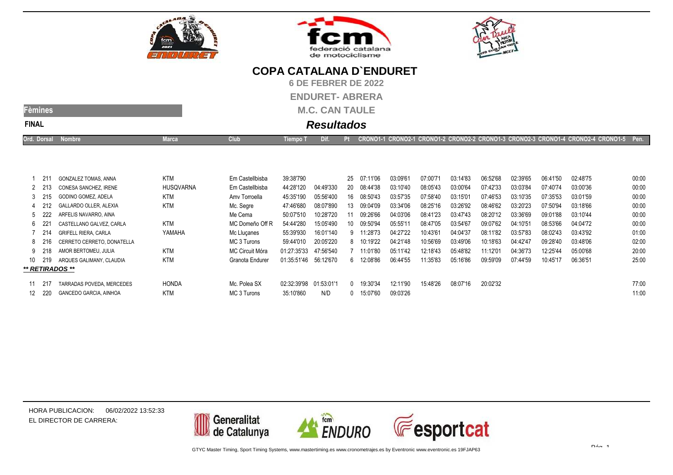





**6 DE FEBRER DE 2022**

**ENDURET- ABRERA**

**M.C. CAN TAULE**

| чn        |
|-----------|
| INAI<br>- |

# **Resultados**

|  | Ord. Dorsal | <b>Iarca</b> | Club | Tiempo T |  |  | CRONO1-1 CRONO2-1 CRONO1-2 CRONO2-2 CRONO1-3 CRONO2-3 CRONO1-4 CRONO2-4 CRONO1-5 Pen. |  |
|--|-------------|--------------|------|----------|--|--|---------------------------------------------------------------------------------------|--|
|--|-------------|--------------|------|----------|--|--|---------------------------------------------------------------------------------------|--|

|     | -211   | GONZALEZ TOMAS, ANNA          | <b>KTM</b>       | Em Castellbisba | 39:38'790   |            | 25 | 07:11'06 | 03:09'61 | 07:00'71 | 03:14'83 | 06:52'68 | 02:39'65 | 06:41'50 | 02:48'75 | 00:00 |
|-----|--------|-------------------------------|------------------|-----------------|-------------|------------|----|----------|----------|----------|----------|----------|----------|----------|----------|-------|
|     | 2 213  | CONESA SANCHEZ. IRENE         | <b>HUSQVARNA</b> | Em Castellbisba | 44:28'120   | 04:49'330  | 20 | 08:44'38 | 03:10'40 | 08:05'43 | 03:00'64 | 07:42'33 | 03:03'84 | 07:40'74 | 03:00'36 | 00:00 |
|     | 3 215  | GODINO GOMEZ, ADELA           | KTM              | Amy Torroella   | 45:35'190   | 05:56'400  | 16 | 08:50'43 | 03:57'35 | 07:58'40 | 03:15'01 | 07:46'53 | 03:10'35 | 07:35'53 | 03:01'59 | 00:00 |
|     | 4 212  | GALLARDO OLLER. ALEXIA        | <b>KTM</b>       | Mc. Segre       | 47:46'680   | 08:07'890  | 13 | 09:04'09 | 03:34'06 | 08:25'16 | 03:26'92 | 08:46'62 | 03:20'23 | 07:50'94 | 03:18'66 | 00:00 |
| 5   | -222   | ARFELIS NAVARRO, AINA         |                  | Me Cema         | 50:07'510   | 10:28'720  |    | 09:26'66 | 04:03'06 | 08:41'23 | 03:47'43 | 08:20'12 | 03:36'69 | 09:01'88 | 03:10'44 | 00:00 |
| 6   | - 221  | CASTELLANO GALVEZ, CARLA      | KTM              | MC Domeño Off R | 54:44'280   | 15:05'490  | 10 | 09:50'94 | 05:55'11 | 08:47'05 | 03:54'67 | 09:07'62 | 04:10'51 | 08:53'66 | 04:04'72 | 00:00 |
|     | 7 214  | <b>GRIFELL RIERA, CARLA</b>   | YAMAHA           | Mc Llucanes     | 55:39'930   | 16:01'140  | 9  | 11:28'73 | 04:27'22 | 10:43'61 | 04:04'37 | 08:11'82 | 03:57'83 | 08:02'43 | 03:43'92 | 01:00 |
|     | 8 216  | CERRETO CERRETO, DONATELLA    |                  | MC 3 Turons     | 59:44'010   | 20:05'220  | 8  | 10:19'22 | 04:21'48 | 10:56'69 | 03:49'06 | 10:18'63 | 04:42'47 | 09:28'40 | 03:48'06 | 02:00 |
|     | 9 218  | AMOR BERTOMEU, JULIA          | KTM              | MC Circuit Móra | 01:27:35'33 | 47:56'540  |    | 11:01'80 | 05:11'42 | 12:18'43 | 05:48'82 | 11:12'01 | 04:36'73 | 12:25'44 | 05:00'68 | 20:00 |
| 10  | 219    | ARQUES GALIMANY, CLAUDIA      | KTM              | Granota Endurer | 01:35:51'46 | 56:12'670  | 6  | 12:08'86 | 06:44'55 | 11:35'83 | 05:16'86 | 09:59'09 | 07:44'59 | 10:45'17 | 06:36'51 | 25:00 |
|     |        | ** RETIRADOS **               |                  |                 |             |            |    |          |          |          |          |          |          |          |          |       |
|     | 11 217 | TARRADAS POVEDA, MERCEDES     | HONDA            | Mc. Polea SX    | 02:32:39'98 | 01:53:01'1 |    | 19:30'34 | 12:11'90 | 15:48'26 | 08:07'16 | 20:02'32 |          |          |          | 77:00 |
| 12. | - 220  | <b>GANCEDO GARCIA, AINHOA</b> | <b>KTM</b>       | MC 3 Turons     | 35:10'860   | N/D        |    | 15:07'60 | 09:03'26 |          |          |          |          |          |          | 11:00 |
|     |        |                               |                  |                 |             |            |    |          |          |          |          |          |          |          |          |       |

HORA PUBLICACION:06/02/2022 13:52:33EL DIRECTOR DE CARRERA:

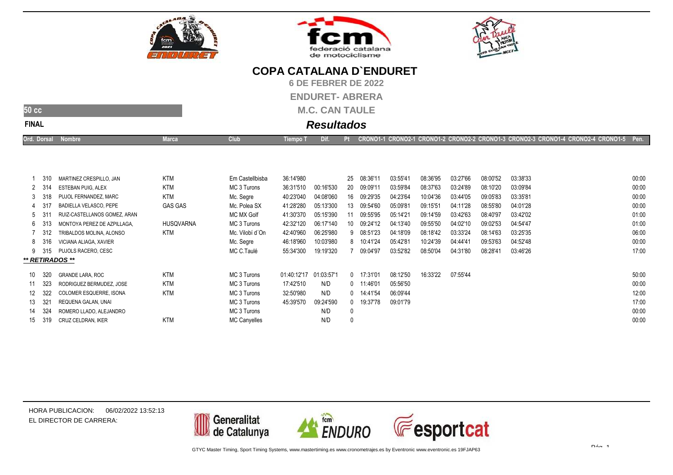





**6 DE FEBRER DE 2022**

**ENDURET- ABRERA**

**M.C. CAN TAULE**

### **50 ccFINAL**

# **Resultados**

|--|

|                 | 310    | MARTINEZ CRESPILLO, JAN      | <b>KTM</b>       | Em Castellbisba     | 36:14'980   |            | 25 | 08:36'11     | 03:55'41 | 08:36'95 | 03:27'66 | 08:00'52 | 03:38'33 | 00:00 |
|-----------------|--------|------------------------------|------------------|---------------------|-------------|------------|----|--------------|----------|----------|----------|----------|----------|-------|
|                 | 2 314  | <b>ESTEBAN PUIG. ALEX</b>    | <b>KTM</b>       | MC 3 Turons         | 36:31'510   | 00:16'530  | 20 | 09:09'11     | 03:59'84 | 08:37'63 | 03:24'89 | 08:10'20 | 03:09'84 | 00:00 |
|                 | 3 318  | PUJOL FERNANDEZ, MARC        | <b>KTM</b>       | Mc. Segre           | 40:23'040   | 04:08'060  | 16 | 09:29'35     | 04:23'64 | 10:04'36 | 03:44'05 | 09:05'83 | 03:35'81 | 00:00 |
|                 | 4 317  | BADIELLA VELASCO, PEPE       | <b>GAS GAS</b>   | Mc. Polea SX        | 41:28'280   | 05:13'300  | 13 | 09:54'60     | 05:09'81 | 09:15'51 | 04:11'28 | 08:55'80 | 04:01'28 | 00:00 |
| 5               |        | RUIZ-CASTELLANOS GOMEZ, ARAN |                  | MC MX Golf          | 41:30'370   | 05:15'390  |    | 09:55'95     | 05:14'21 | 09:14'59 | 03:42'63 | 08:40'97 | 03:42'02 | 01:00 |
|                 | 6 313  | MONTOYA PEREZ DE AZPILLAGA.  | <b>HUSQVARNA</b> | MC 3 Turons         | 42:32'120   | 06:17'140  | 10 | 09:24'12     | 04:13'40 | 09:55'50 | 04:02'10 | 09:02'53 | 04:54'47 | 01:00 |
|                 | 7 312  | TRIBALDOS MOLINA, ALONSO     | KTM              | Mc. Vilobí d'On     | 42:40'960   | 06:25'980  |    | 9 08:51'23   | 04:18'09 | 08:18'42 | 03:33'24 | 08:14'63 | 03:25'35 | 06:00 |
|                 | 8 316  | VICIANA ALIAGA, XAVIER       |                  | Mc. Segre           | 46:18'960   | 10:03'980  | 8  | 10:41'24     | 05:42'81 | 10:24'39 | 04:44'41 | 09:53'63 | 04:52'48 | 00:00 |
|                 | 9 315  | PUJOLS RACERO, CESC          |                  | MC C.Taulé          | 55:34'300   | 19:19'320  |    | 09:04'97     | 03:52'82 | 08:50'04 | 04:31'80 | 08:28'41 | 03:46'26 | 17:00 |
| ** RETIRADOS ** |        |                              |                  |                     |             |            |    |              |          |          |          |          |          |       |
|                 | 10 320 | <b>GRANDE LARA, ROC</b>      | <b>KTM</b>       | MC 3 Turons         | 01:40:12'17 | 01:03:57'1 |    | $0$ 17:31'01 | 08:12'50 | 16:33'22 | 07:55'44 |          |          | 50:00 |
|                 |        |                              |                  |                     |             |            |    |              |          |          |          |          |          |       |
|                 | 323    | RODRIGUEZ BERMUDEZ. JOSE     | <b>KTM</b>       | MC 3 Turons         | 17:42'510   | N/D        |    | $0$ 11:46'01 | 05:56'50 |          |          |          |          | 00:00 |
| 12              | -322   | COLOMER ESQUERRE, ISONA      | <b>KTM</b>       | MC 3 Turons         | 32:50'980   | N/D        | 0  | 14:41'54     | 06:09'44 |          |          |          |          | 12:00 |
| 13              | -321   | REQUENA GALAN, UNAI          |                  | MC 3 Turons         | 45:39'570   | 09:24'590  | 0  | 19:37'78     | 09:01'79 |          |          |          |          | 17:00 |
|                 | 14 324 | ROMERO LLADO, ALEJANDRO      |                  | MC 3 Turons         |             | N/D        | 0  |              |          |          |          |          |          | 00:00 |
| 15              | 319    | CRUZ CELDRAN, IKER           | <b>KTM</b>       | <b>MC Canyelles</b> |             | N/D        | 0  |              |          |          |          |          |          | 00:00 |
|                 |        |                              |                  |                     |             |            |    |              |          |          |          |          |          |       |

HORA PUBLICACION:06/02/2022 13:52:13EL DIRECTOR DE CARRERA: